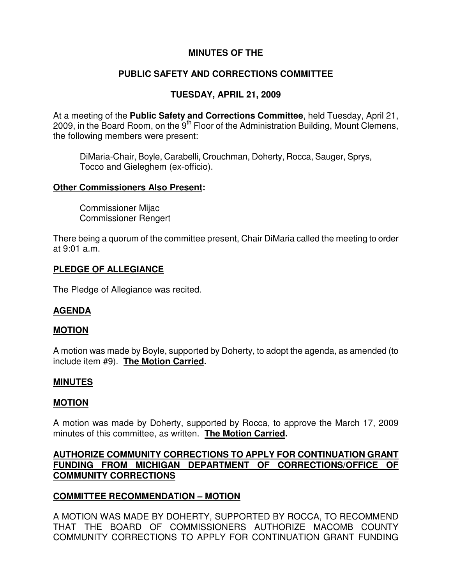## **MINUTES OF THE**

### **PUBLIC SAFETY AND CORRECTIONS COMMITTEE**

## **TUESDAY, APRIL 21, 2009**

At a meeting of the **Public Safety and Corrections Committee**, held Tuesday, April 21, 2009, in the Board Room, on the 9<sup>th</sup> Floor of the Administration Building, Mount Clemens, the following members were present:

DiMaria-Chair, Boyle, Carabelli, Crouchman, Doherty, Rocca, Sauger, Sprys, Tocco and Gieleghem (ex-officio).

#### **Other Commissioners Also Present:**

Commissioner Mijac Commissioner Rengert

There being a quorum of the committee present, Chair DiMaria called the meeting to order at 9:01 a.m.

### **PLEDGE OF ALLEGIANCE**

The Pledge of Allegiance was recited.

### **AGENDA**

#### **MOTION**

A motion was made by Boyle, supported by Doherty, to adopt the agenda, as amended (to include item #9). **The Motion Carried.** 

#### **MINUTES**

#### **MOTION**

A motion was made by Doherty, supported by Rocca, to approve the March 17, 2009 minutes of this committee, as written. **The Motion Carried.** 

### **AUTHORIZE COMMUNITY CORRECTIONS TO APPLY FOR CONTINUATION GRANT FUNDING FROM MICHIGAN DEPARTMENT OF CORRECTIONS/OFFICE OF COMMUNITY CORRECTIONS**

### **COMMITTEE RECOMMENDATION – MOTION**

A MOTION WAS MADE BY DOHERTY, SUPPORTED BY ROCCA, TO RECOMMEND THAT THE BOARD OF COMMISSIONERS AUTHORIZE MACOMB COUNTY COMMUNITY CORRECTIONS TO APPLY FOR CONTINUATION GRANT FUNDING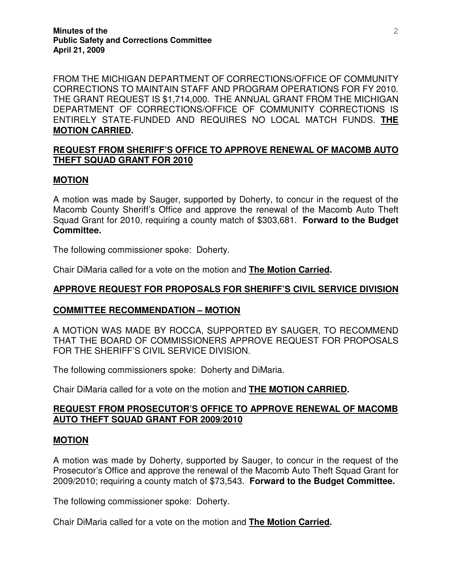FROM THE MICHIGAN DEPARTMENT OF CORRECTIONS/OFFICE OF COMMUNITY CORRECTIONS TO MAINTAIN STAFF AND PROGRAM OPERATIONS FOR FY 2010. THE GRANT REQUEST IS \$1,714,000. THE ANNUAL GRANT FROM THE MICHIGAN DEPARTMENT OF CORRECTIONS/OFFICE OF COMMUNITY CORRECTIONS IS ENTIRELY STATE-FUNDED AND REQUIRES NO LOCAL MATCH FUNDS. **THE MOTION CARRIED.** 

## **REQUEST FROM SHERIFF'S OFFICE TO APPROVE RENEWAL OF MACOMB AUTO THEFT SQUAD GRANT FOR 2010**

### **MOTION**

A motion was made by Sauger, supported by Doherty, to concur in the request of the Macomb County Sheriff's Office and approve the renewal of the Macomb Auto Theft Squad Grant for 2010, requiring a county match of \$303,681. **Forward to the Budget Committee.** 

The following commissioner spoke: Doherty.

Chair DiMaria called for a vote on the motion and **The Motion Carried.** 

## **APPROVE REQUEST FOR PROPOSALS FOR SHERIFF'S CIVIL SERVICE DIVISION**

### **COMMITTEE RECOMMENDATION – MOTION**

A MOTION WAS MADE BY ROCCA, SUPPORTED BY SAUGER, TO RECOMMEND THAT THE BOARD OF COMMISSIONERS APPROVE REQUEST FOR PROPOSALS FOR THE SHERIFF'S CIVIL SERVICE DIVISION.

The following commissioners spoke: Doherty and DiMaria.

Chair DiMaria called for a vote on the motion and **THE MOTION CARRIED.** 

### **REQUEST FROM PROSECUTOR'S OFFICE TO APPROVE RENEWAL OF MACOMB AUTO THEFT SQUAD GRANT FOR 2009/2010**

### **MOTION**

A motion was made by Doherty, supported by Sauger, to concur in the request of the Prosecutor's Office and approve the renewal of the Macomb Auto Theft Squad Grant for 2009/2010; requiring a county match of \$73,543. **Forward to the Budget Committee.** 

The following commissioner spoke: Doherty.

Chair DiMaria called for a vote on the motion and **The Motion Carried.**